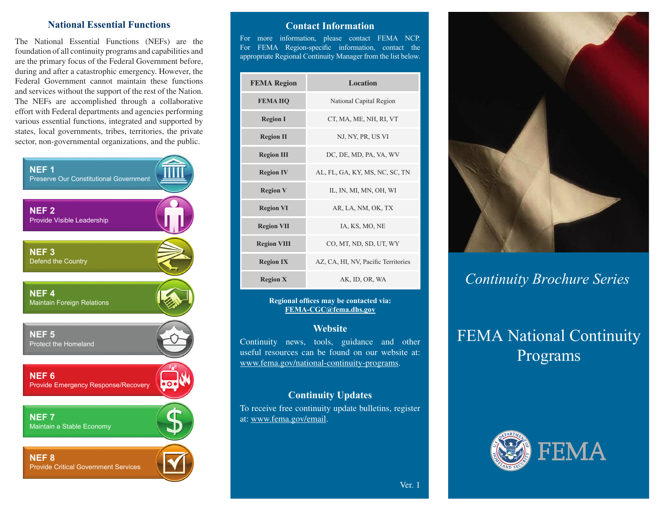### **National Essential Functions**

The National Essential Functions (NEFs) are the foundation of all continuity programs and capabilities and are the primary focus of the Federal Government before, during and after a catastrophic emergency. However, the Federal Government cannot maintain these functions and services without the support of the rest of the Nation. The NEFs are accomplished through a collaborative effort with Federal departments and agencies performing various essential functions, integrated and supported by states, local governments, tribes, territories, the private sector, non-governmental organizations, and the public.



### **Contact Information**

For more information, please contact FEMA NCP. For FEMA Region-specific information, contact the appropriate Regional Continuity Manager from the list below.

| <b>FEMA Region</b> | <b>Location</b>                     |
|--------------------|-------------------------------------|
| <b>FEMAHQ</b>      | National Capital Region             |
| <b>Region I</b>    | CT, MA, ME, NH, RI, VT              |
| <b>Region II</b>   | NJ, NY, PR, US VI                   |
| <b>Region III</b>  | DC, DE, MD, PA, VA, WV              |
| <b>Region IV</b>   | AL, FL, GA, KY, MS, NC, SC, TN      |
| <b>Region V</b>    | IL, IN, MI, MN, OH, WI              |
| <b>Region VI</b>   | AR, LA, NM, OK, TX                  |
| <b>Region VII</b>  | IA, KS, MO, NE                      |
| <b>Region VIII</b> | CO, MT, ND, SD, UT, WY              |
| <b>Region IX</b>   | AZ, CA, HI, NV, Pacific Territories |
| <b>Region X</b>    | AK, ID, OR, WA                      |

#### **Regional offices may be contacted via: FEMA-CGC@fema.dhs.gov**

### **Website**

Continuity news, tools, guidance and other useful resources can be found on our website at: www.fema.gov/national-continuity-programs.

### **Continuity Updates**

To receive free continuity update bulletins, register at: [www.fema.gov/email.](https://www.fema.gov/email)



## *Continuity Brochure Series*

# FEMA National Continuity Programs